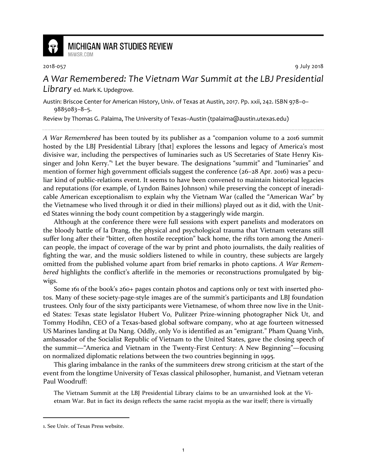

## **MICHIGAN WAR STUDIES REVIEW** MiWSR.COM

2018-057 9 July 2018

## *A War Remembered: The Vietnam War Summit at the LBJ Presidential Library* ed. Mark K. Updegrove.

Austin: Briscoe Center for American History, Univ. of Texas at Austin, 2017. Pp. xxii, 242. ISBN 978–0– 9885083–8–5.

Review by Thomas G. Palaima, The University of Texas–Austin (tpalaima@austin.utexas.edu)

*A War Remembered* has been touted by its publisher as a "companion volume to a 2016 summit hosted by the LBJ Presidential Library [that] explores the lessons and legacy of America's most divisive war, including the perspectives of luminaries such as US Secretaries of State Henry Kissinger and John Kerry."<sup>1</sup> Let the buyer beware. The designations "summit" and "luminaries" and mention of former high government officials suggest the conference (26–28 Apr. 2016) was a peculiar kind of public-relations event. It seems to have been convened to maintain historical legacies and reputations (for example, of Lyndon Baines Johnson) while preserving the concept of ineradicable American exceptionalism to explain why the Vietnam War (called the "American War" by the Vietnamese who lived through it or died in their millions) played out as it did, with the United States winning the body count competition by a staggeringly wide margin.

Although at the conference there were full sessions with expert panelists and moderators on the bloody battle of Ia Drang, the physical and psychological trauma that Vietnam veterans still suffer long after their "bitter, often hostile reception" back home, the rifts torn among the American people, the impact of coverage of the war by print and photo journalists, the daily realities of fighting the war, and the music soldiers listened to while in country, these subjects are largely omitted from the published volume apart from brief remarks in photo captions. *A War Remembered* highlights the conflict's afterlife in the memories or reconstructions promulgated by bigwigs.

Some 161 of the book's 260+ pages contain photos and captions only or text with inserted photos. Many of these society-page-style images are of the summit's participants and LBJ foundation trustees. Only four of the sixty participants were Vietnamese, of whom three now live in the United States: Texas state legislator Hubert Vo, Pulitzer Prize-winning photographer Nick Ut, and Tommy Hodihn, CEO of a Texas-based global software company, who at age fourteen witnessed US Marines landing at Da Nang. Oddly, only Vo is identified as an "emigrant." Pham Quang Vinh, ambassador of the Socialist Republic of Vietnam to the United States, gave the closing speech of the summit—"America and Vietnam in the Twenty-First Century: A New Beginning"—focusing on normalized diplomatic relations between the two countries beginning in 1995.

This glaring imbalance in the ranks of the summiteers drew strong criticism at the start of the event from the longtime University of Texas classical philosopher, humanist, and Vietnam veteran Paul Woodruff:

The Vietnam Summit at the LBJ Presidential Library claims to be an unvarnished look at the Vietnam War. But in fact its design reflects the same racist myopia as the war itself; there is virtually

<sup>1.</sup> See Univ. of Texas Press website.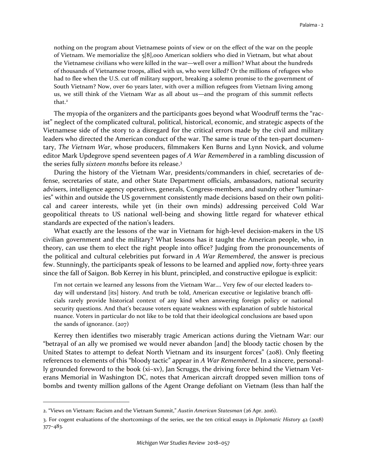nothing on the program about Vietnamese points of view or on the effect of the war on the people of Vietnam. We memorialize the 5[8],000 American soldiers who died in Vietnam, but what about the Vietnamese civilians who were killed in the war—well over a million? What about the hundreds of thousands of Vietnamese troops, allied with us, who were killed? Or the millions of refugees who had to flee when the U.S. cut off military support, breaking a solemn promise to the government of South Vietnam? Now, over 60 years later, with over a million refugees from Vietnam living among us, we still think of the Vietnam War as all about us—and the program of this summit reflects that.<sup>2</sup>

The myopia of the organizers and the participants goes beyond what Woodruff terms the "racist" neglect of the complicated cultural, political, historical, economic, and strategic aspects of the Vietnamese side of the story to a disregard for the critical errors made by the civil and military leaders who directed the American conduct of the war. The same is true of the ten-part documentary, *The Vietnam War*, whose producers, filmmakers Ken Burns and Lynn Novick, and volume editor Mark Updegrove spend seventeen pages of *A War Remembered* in a rambling discussion of the series fully *sixteen months* before its release.<sup>3</sup>

During the history of the Vietnam War, presidents/commanders in chief, secretaries of defense, secretaries of state, and other State Department officials, ambassadors, national security advisers, intelligence agency operatives, generals, Congress-members, and sundry other "luminaries" within and outside the US government consistently made decisions based on their own political and career interests, while yet (in their own minds) addressing perceived Cold War geopolitical threats to US national well-being and showing little regard for whatever ethical standards are expected of the nation's leaders.

What exactly are the lessons of the war in Vietnam for high-level decision-makers in the US civilian government and the military? What lessons has it taught the American people, who, in theory, can use them to elect the right people into office? Judging from the pronouncements of the political and cultural celebrities put forward in *A War Remembered*, the answer is precious few. Stunningly, the participants speak of lessons to be learned and applied *now*, forty-three years since the fall of Saigon. Bob Kerrey in his blunt, principled, and constructive epilogue is explicit:

I'm not certain we learned any lessons from the Vietnam War…. Very few of our elected leaders today will understand [its] history. And truth be told, American executive or legislative branch officials rarely provide historical context of any kind when answering foreign policy or national security questions. And that's because voters equate weakness with explanation of subtle historical nuance. Voters in particular do not like to be told that their ideological conclusions are based upon the sands of ignorance.  $(207)$ 

Kerrey then identifies two miserably tragic American actions during the Vietnam War: our "betrayal of an ally we promised we would never abandon [and] the bloody tactic chosen by the United States to attempt to defeat North Vietnam and its insurgent forces" (208). Only fleeting references to elements of this "bloody tactic" appear in *A War Remembered*. In a sincere, personally grounded foreword to the book (xi–xv), Jan Scruggs, the driving force behind the Vietnam Veterans Memorial in Washington DC, notes that American aircraft dropped seven million tons of bombs and twenty million gallons of the Agent Orange defoliant on Vietnam (less than half the

-

<sup>2. &</sup>quot;Views on Vietnam: Racism and the Vietnam Summit," *Austin American Statesman* (26 Apr. 2016).

<sup>3.</sup> For cogent evaluations of the shortcomings of the series, see the ten critical essays in *Diplomatic History* 42 (2018) 377–483.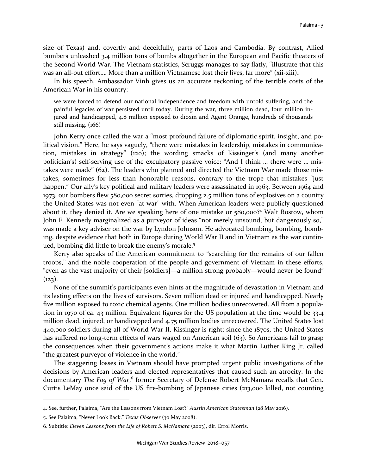size of Texas) and, covertly and deceitfully, parts of Laos and Cambodia. By contrast, Allied bombers unleashed 3.4 million tons of bombs altogether in the European and Pacific theaters of the Second World War. The Vietnam statistics, Scruggs manages to say flatly, "illustrate that this was an all-out effort…. More than a million Vietnamese lost their lives, far more" (xii-xiii)**.**

In his speech, Ambassador Vinh gives us an accurate reckoning of the terrible costs of the American War in his country:

we were forced to defend our national independence and freedom with untold suffering, and the painful legacies of war persisted until today. During the war, three million dead, four million injured and handicapped, 4.8 million exposed to dioxin and Agent Orange, hundreds of thousands still missing. (166)

John Kerry once called the war a "most profound failure of diplomatic spirit, insight, and political vision." Here, he says vaguely, "there were mistakes in leadership, mistakes in communication, mistakes in strategy" (120); the wording smacks of Kissinger's (and many another politician's) self-serving use of the exculpatory passive voice: "And I think … there were … mistakes were made" (62). The leaders who planned and directed the Vietnam War made those mistakes, sometimes for less than honorable reasons, contrary to the trope that mistakes "just happen." Our ally's key political and military leaders were assassinated in 1963. Between 1964 and 1973, our bombers flew 580,000 secret sorties, dropping 2.5 million tons of explosives on a country the United States was not even "at war" with. When American leaders were publicly questioned about it, they denied it. Are we speaking here of one mistake or 580,000?<sup>4</sup> Walt Rostow, whom John F. Kennedy marginalized as a purveyor of ideas "not merely unsound, but dangerously so," was made a key adviser on the war by Lyndon Johnson. He advocated bombing, bombing, bombing, despite evidence that both in Europe during World War II and in Vietnam as the war continued, bombing did little to break the enemy's morale. 5

Kerry also speaks of the American commitment to "searching for the remains of our fallen troops," and the noble cooperation of the people and government of Vietnam in these efforts, "even as the vast majority of their [soldiers]—a million strong probably—would never be found"  $(123)$ .

None of the summit's participants even hints at the magnitude of devastation in Vietnam and its lasting effects on the lives of survivors. Seven million dead or injured and handicapped. Nearly five million exposed to toxic chemical agents. One million bodies unrecovered. All from a population in 1970 of ca. 43 million. Equivalent figures for the US population at the time would be 33.4 million dead, injured, or handicapped and 4.75 million bodies unrecovered. The United States lost 440,000 soldiers during all of World War II. Kissinger is right: since the 1870s, the United States has suffered no long-term effects of wars waged on American soil (63). So Americans fail to grasp the consequences when their government's actions make it what Martin Luther King Jr. called "the greatest purveyor of violence in the world."

The staggering losses in Vietnam should have prompted urgent public investigations of the decisions by American leaders and elected representatives that caused such an atrocity. In the documentary *The Fog of War*,<sup>6</sup> former Secretary of Defense Robert McNamara recalls that Gen. Curtis LeMay once said of the US fire-bombing of Japanese cities (213,000 killed, not counting

<sup>4.</sup> See, further, Palaima, "Are the Lessons from Vietnam Lost?" *Austin American Statesman* (28 May 2016).

<sup>5.</sup> See Palaima, "Never Look Back," *Texas Observer* (30 May 2008).

<sup>6.</sup> Subtitle: *Eleven Lessons from the Life of Robert S. McNamara* (2003), dir. Errol Morris.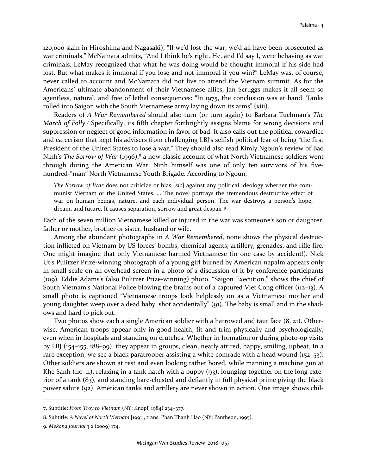120,000 slain in Hiroshima and Nagasaki), "If we'd lost the war, we'd all have been prosecuted as war criminals." McNamara admits, "And I think he's right. He, and I'd say I, were behaving as war criminals. LeMay recognized that what he was doing would be thought immoral if his side had lost. But what makes it immoral if you lose and not immoral if you win?" LeMay was, of course, never called to account and McNamara did not live to attend the Vietnam summit. As for the Americans' ultimate abandonment of their Vietnamese allies, Jan Scruggs makes it all seem so agentless, natural, and free of lethal consequences: "In 1975, the conclusion was at hand. Tanks rolled into Saigon with the South Vietnamese army laying down its arms" (xiii).

Readers of *A War Remembered* should also turn (or turn again) to Barbara Tuchman's *The*  March of Folly.<sup>7</sup> Specifically, its fifth chapter forthrightly assigns blame for wrong decisions and suppression or neglect of good information in favor of bad. It also calls out the political cowardice and careerism that kept his advisers from challenging LBJ's selfish political fear of being "the first President of the United States to lose a war." They should also read Kimly Ngoun's review of Bao Ninh's *The Sorrow of War* (1996),<sup>8</sup> a now classic account of what North Vietnamese soldiers went through during the American War. Ninh himself was one of only ten survivors of his fivehundred-"man" North Vietnamese Youth Brigade. According to Ngoun,

*The Sorrow of War* does not criticize or bias [*sic*] against any political ideology whether the communist Vietnam or the United States. … The novel portrays the tremendous destructive effect of war on human beings, nature, and each individual person. The war destroys a person's hope, dream, and future. It causes separation, sorrow and great despair.<sup>9</sup>

Each of the seven million Vietnamese killed or injured in the war was someone's son or daughter, father or mother, brother or sister, husband or wife.

Among the abundant photographs in *A War Remembered*, none shows the physical destruction inflicted on Vietnam by US forces' bombs, chemical agents, artillery, grenades, and rifle fire. One might imagine that only Vietnamese harmed Vietnamese (in one case by accident!). Nick Ut's Pulitzer Prize-winning photograph of a young girl burned by American napalm appears only in small-scale on an overhead screen in a photo of a discussion of it by conference participants (109). Eddie Adams's (also Pulitzer Prize-winning) photo, "Saigon Execution," shows the chief of South Vietnam's National Police blowing the brains out of a captured Viet Cong officer (112–13). A small photo is captioned "Vietnamese troops look helplessly on as a Vietnamese mother and young daughter weep over a dead baby, shot accidentally" (91). The baby is small and in the shadows and hard to pick out.

Two photos show each a single American soldier with a harrowed and taut face (8, 21). Otherwise, American troops appear only in good health, fit and trim physically and psychologically, even when in hospitals and standing on crutches. Whether in formation or during photo-op visits by LBJ (154–155, 188–99), they appear in groups, clean, neatly attired, happy, smiling, upbeat. In a rare exception, we see a black paratrooper assisting a white comrade with a head wound (152–53). Other soldiers are shown at rest and even looking rather bored, while manning a machine gun at Khe Sanh (110–11), relaxing in a tank hatch with a puppy (93), lounging together on the long exterior of a tank (83), and standing bare-chested and defiantly in full physical prime giving the black power salute (92). American tanks and artillery are never shown in action. One image shows chil-

<sup>7.</sup> Subtitle: *From Troy to Vietnam* (NY: Knopf, 1984) 234–377.

<sup>8.</sup> Subtitle: *A Novel of North Vietnam* [1991], trans. Phan Thanh Hao (NY: Pantheon, 1995).

<sup>9.</sup> *Mekong Journal* 3.2 (2009) 174.